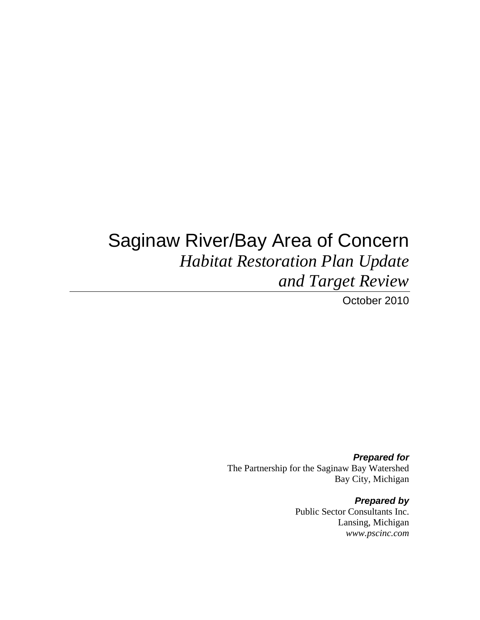# Saginaw River/Bay Area of Concern *Habitat Restoration Plan Update and Target Review*

October 2010

*Prepared for*  The Partnership for the Saginaw Bay Watershed Bay City, Michigan

> *Prepared by*  Public Sector Consultants Inc. Lansing, Michigan *www.pscinc.com*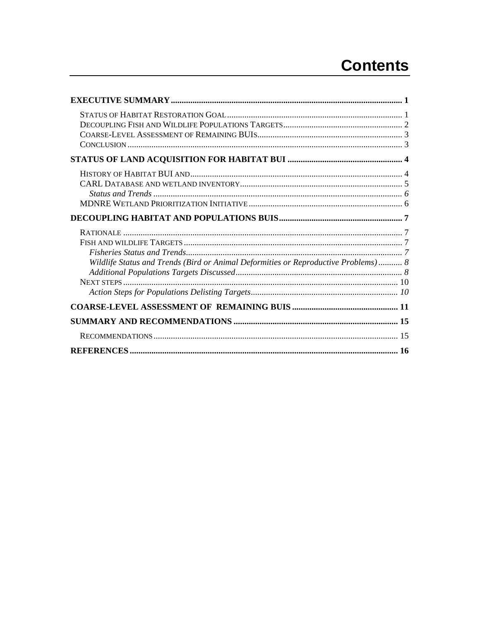# **Contents**

| Wildlife Status and Trends (Bird or Animal Deformities or Reproductive Problems) 8 |  |
|------------------------------------------------------------------------------------|--|
|                                                                                    |  |
|                                                                                    |  |
|                                                                                    |  |
|                                                                                    |  |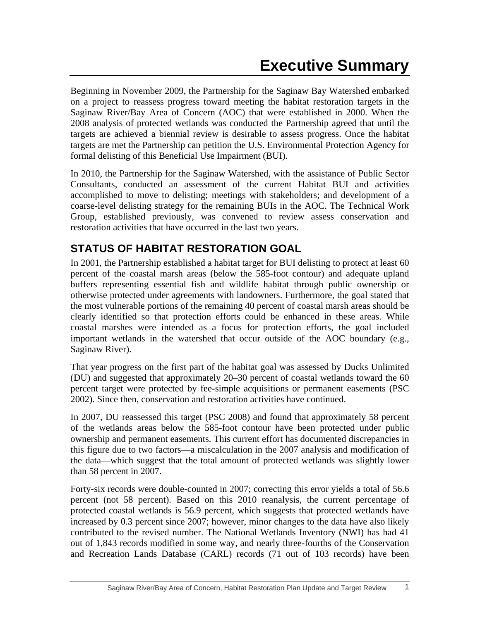Beginning in November 2009, the Partnership for the Saginaw Bay Watershed embarked on a project to reassess progress toward meeting the habitat restoration targets in the Saginaw River/Bay Area of Concern (AOC) that were established in 2000. When the 2008 analysis of protected wetlands was conducted the Partnership agreed that until the targets are achieved a biennial review is desirable to assess progress. Once the habitat targets are met the Partnership can petition the U.S. Environmental Protection Agency for formal delisting of this Beneficial Use Impairment (BUI).

In 2010, the Partnership for the Saginaw Watershed, with the assistance of Public Sector Consultants, conducted an assessment of the current Habitat BUI and activities accomplished to move to delisting; meetings with stakeholders; and development of a coarse-level delisting strategy for the remaining BUIs in the AOC. The Technical Work Group, established previously, was convened to review assess conservation and restoration activities that have occurred in the last two years.

## **STATUS OF HABITAT RESTORATION GOAL**

In 2001, the Partnership established a habitat target for BUI delisting to protect at least 60 percent of the coastal marsh areas (below the 585-foot contour) and adequate upland buffers representing essential fish and wildlife habitat through public ownership or otherwise protected under agreements with landowners. Furthermore, the goal stated that the most vulnerable portions of the remaining 40 percent of coastal marsh areas should be clearly identified so that protection efforts could be enhanced in these areas. While coastal marshes were intended as a focus for protection efforts, the goal included important wetlands in the watershed that occur outside of the AOC boundary (e.g., Saginaw River).

That year progress on the first part of the habitat goal was assessed by Ducks Unlimited (DU) and suggested that approximately 20–30 percent of coastal wetlands toward the 60 percent target were protected by fee-simple acquisitions or permanent easements (PSC 2002). Since then, conservation and restoration activities have continued.

In 2007, DU reassessed this target (PSC 2008) and found that approximately 58 percent of the wetlands areas below the 585-foot contour have been protected under public ownership and permanent easements. This current effort has documented discrepancies in this figure due to two factors—a miscalculation in the 2007 analysis and modification of the data—which suggest that the total amount of protected wetlands was slightly lower than 58 percent in 2007.

Forty-six records were double-counted in 2007; correcting this error yields a total of 56.6 percent (not 58 percent). Based on this 2010 reanalysis, the current percentage of protected coastal wetlands is 56.9 percent, which suggests that protected wetlands have increased by 0.3 percent since 2007; however, minor changes to the data have also likely contributed to the revised number. The National Wetlands Inventory (NWI) has had 41 out of 1,843 records modified in some way, and nearly three-fourths of the Conservation and Recreation Lands Database (CARL) records (71 out of 103 records) have been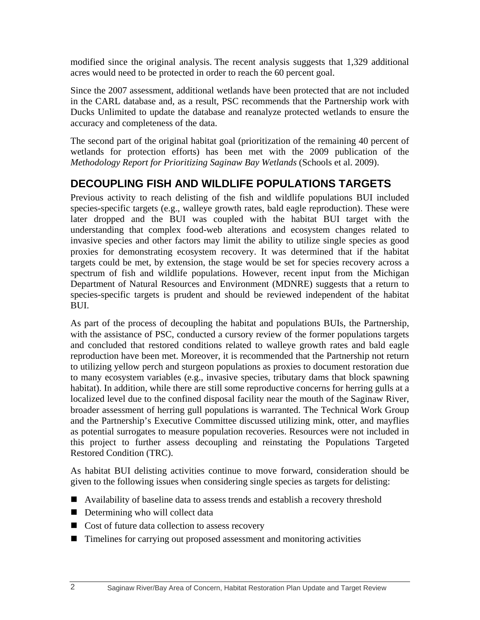modified since the original analysis. The recent analysis suggests that 1,329 additional acres would need to be protected in order to reach the 60 percent goal.

Since the 2007 assessment, additional wetlands have been protected that are not included in the CARL database and, as a result, PSC recommends that the Partnership work with Ducks Unlimited to update the database and reanalyze protected wetlands to ensure the accuracy and completeness of the data.

The second part of the original habitat goal (prioritization of the remaining 40 percent of wetlands for protection efforts) has been met with the 2009 publication of the *Methodology Report for Prioritizing Saginaw Bay Wetlands* (Schools et al. 2009).

## **DECOUPLING FISH AND WILDLIFE POPULATIONS TARGETS**

Previous activity to reach delisting of the fish and wildlife populations BUI included species-specific targets (e.g., walleye growth rates, bald eagle reproduction). These were later dropped and the BUI was coupled with the habitat BUI target with the understanding that complex food-web alterations and ecosystem changes related to invasive species and other factors may limit the ability to utilize single species as good proxies for demonstrating ecosystem recovery. It was determined that if the habitat targets could be met, by extension, the stage would be set for species recovery across a spectrum of fish and wildlife populations. However, recent input from the Michigan Department of Natural Resources and Environment (MDNRE) suggests that a return to species-specific targets is prudent and should be reviewed independent of the habitat BUI.

As part of the process of decoupling the habitat and populations BUIs, the Partnership, with the assistance of PSC, conducted a cursory review of the former populations targets and concluded that restored conditions related to walleye growth rates and bald eagle reproduction have been met. Moreover, it is recommended that the Partnership not return to utilizing yellow perch and sturgeon populations as proxies to document restoration due to many ecosystem variables (e.g., invasive species, tributary dams that block spawning habitat). In addition, while there are still some reproductive concerns for herring gulls at a localized level due to the confined disposal facility near the mouth of the Saginaw River, broader assessment of herring gull populations is warranted. The Technical Work Group and the Partnership's Executive Committee discussed utilizing mink, otter, and mayflies as potential surrogates to measure population recoveries. Resources were not included in this project to further assess decoupling and reinstating the Populations Targeted Restored Condition (TRC).

As habitat BUI delisting activities continue to move forward, consideration should be given to the following issues when considering single species as targets for delisting:

- Availability of baseline data to assess trends and establish a recovery threshold
- Determining who will collect data
- Cost of future data collection to assess recovery
- Timelines for carrying out proposed assessment and monitoring activities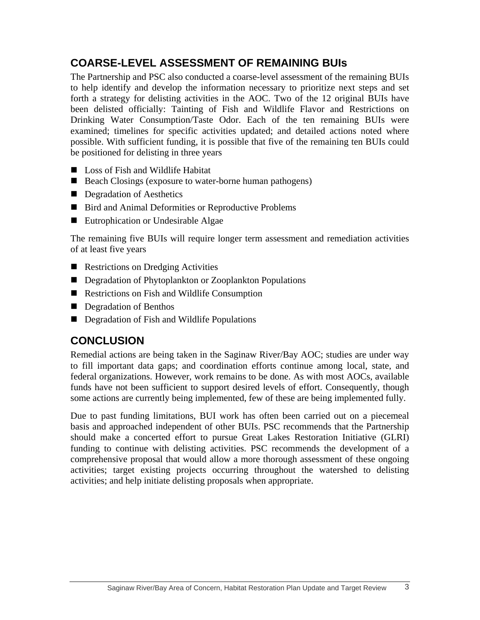## **COARSE-LEVEL ASSESSMENT OF REMAINING BUIs**

The Partnership and PSC also conducted a coarse-level assessment of the remaining BUIs to help identify and develop the information necessary to prioritize next steps and set forth a strategy for delisting activities in the AOC. Two of the 12 original BUIs have been delisted officially: Tainting of Fish and Wildlife Flavor and Restrictions on Drinking Water Consumption/Taste Odor. Each of the ten remaining BUIs were examined; timelines for specific activities updated; and detailed actions noted where possible. With sufficient funding, it is possible that five of the remaining ten BUIs could be positioned for delisting in three years

- Loss of Fish and Wildlife Habitat
- Beach Closings (exposure to water-borne human pathogens)
- Degradation of Aesthetics
- Bird and Animal Deformities or Reproductive Problems
- Eutrophication or Undesirable Algae

The remaining five BUIs will require longer term assessment and remediation activities of at least five years

- Restrictions on Dredging Activities
- Degradation of Phytoplankton or Zooplankton Populations
- Restrictions on Fish and Wildlife Consumption
- Degradation of Benthos
- Degradation of Fish and Wildlife Populations

## **CONCLUSION**

Remedial actions are being taken in the Saginaw River/Bay AOC; studies are under way to fill important data gaps; and coordination efforts continue among local, state, and federal organizations. However, work remains to be done. As with most AOCs, available funds have not been sufficient to support desired levels of effort. Consequently, though some actions are currently being implemented, few of these are being implemented fully.

Due to past funding limitations, BUI work has often been carried out on a piecemeal basis and approached independent of other BUIs. PSC recommends that the Partnership should make a concerted effort to pursue Great Lakes Restoration Initiative (GLRI) funding to continue with delisting activities. PSC recommends the development of a comprehensive proposal that would allow a more thorough assessment of these ongoing activities; target existing projects occurring throughout the watershed to delisting activities; and help initiate delisting proposals when appropriate.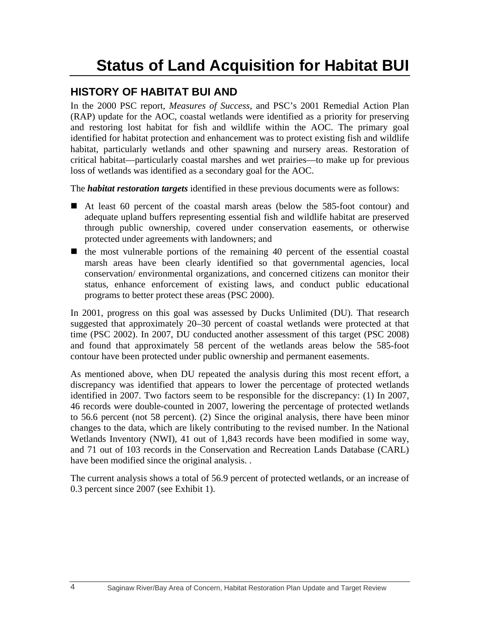# **Status of Land Acquisition for Habitat BUI**

## **HISTORY OF HABITAT BUI AND**

In the 2000 PSC report, *Measures of Success*, and PSC's 2001 Remedial Action Plan (RAP) update for the AOC, coastal wetlands were identified as a priority for preserving and restoring lost habitat for fish and wildlife within the AOC. The primary goal identified for habitat protection and enhancement was to protect existing fish and wildlife habitat, particularly wetlands and other spawning and nursery areas. Restoration of critical habitat—particularly coastal marshes and wet prairies—to make up for previous loss of wetlands was identified as a secondary goal for the AOC.

The *habitat restoration targets* identified in these previous documents were as follows:

- At least 60 percent of the coastal marsh areas (below the 585-foot contour) and adequate upland buffers representing essential fish and wildlife habitat are preserved through public ownership, covered under conservation easements, or otherwise protected under agreements with landowners; and
- $\blacksquare$  the most vulnerable portions of the remaining 40 percent of the essential coastal marsh areas have been clearly identified so that governmental agencies, local conservation/ environmental organizations, and concerned citizens can monitor their status, enhance enforcement of existing laws, and conduct public educational programs to better protect these areas (PSC 2000).

In 2001, progress on this goal was assessed by Ducks Unlimited (DU). That research suggested that approximately 20–30 percent of coastal wetlands were protected at that time (PSC 2002). In 2007, DU conducted another assessment of this target (PSC 2008) and found that approximately 58 percent of the wetlands areas below the 585-foot contour have been protected under public ownership and permanent easements.

As mentioned above, when DU repeated the analysis during this most recent effort, a discrepancy was identified that appears to lower the percentage of protected wetlands identified in 2007. Two factors seem to be responsible for the discrepancy: (1) In 2007, 46 records were double-counted in 2007, lowering the percentage of protected wetlands to 56.6 percent (not 58 percent). (2) Since the original analysis, there have been minor changes to the data, which are likely contributing to the revised number. In the National Wetlands Inventory (NWI), 41 out of 1,843 records have been modified in some way, and 71 out of 103 records in the Conservation and Recreation Lands Database (CARL) have been modified since the original analysis. .

The current analysis shows a total of 56.9 percent of protected wetlands, or an increase of 0.3 percent since 2007 (see Exhibit 1).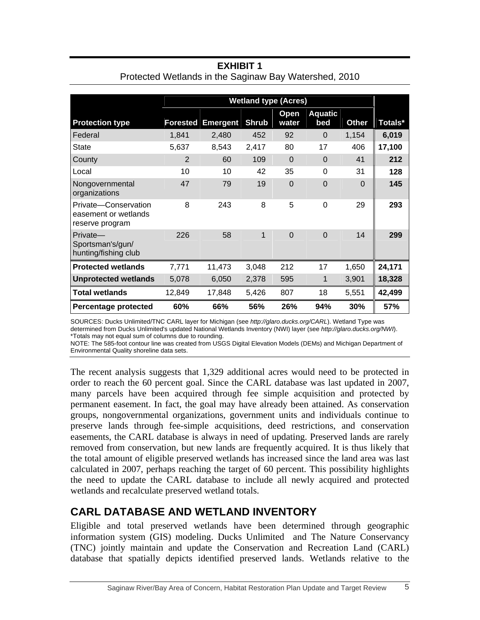|                                                                 | <b>Wetland type (Acres)</b> |                 |              |                |                |          |         |
|-----------------------------------------------------------------|-----------------------------|-----------------|--------------|----------------|----------------|----------|---------|
|                                                                 |                             |                 |              | Open           | <b>Aquatic</b> |          |         |
| <b>Protection type</b>                                          | <b>Forested</b>             | <b>Emergent</b> | <b>Shrub</b> | water          | bed            | Other    | Totals* |
| Federal                                                         | 1,841                       | 2,480           | 452          | 92             | $\Omega$       | 1,154    | 6,019   |
| <b>State</b>                                                    | 5,637                       | 8,543           | 2,417        | 80             | 17             | 406      | 17,100  |
| County                                                          | 2                           | 60              | 109          | $\Omega$       | $\Omega$       | 41       | 212     |
| Local                                                           | 10                          | 10              | 42           | 35             | 0              | 31       | 128     |
| Nongovernmental<br>organizations                                | 47                          | 79              | 19           | $\overline{0}$ | $\Omega$       | $\Omega$ | 145     |
| Private-Conservation<br>easement or wetlands<br>reserve program | 8                           | 243             | 8            | 5              | $\Omega$       | 29       | 293     |
| Private-<br>Sportsman's/gun/<br>hunting/fishing club            | 226                         | 58              | 1            | $\Omega$       | $\Omega$       | 14       | 299     |
| <b>Protected wetlands</b>                                       | 7,771                       | 11,473          | 3,048        | 212            | 17             | 1,650    | 24,171  |
| <b>Unprotected wetlands</b>                                     | 5,078                       | 6,050           | 2,378        | 595            | 1              | 3,901    | 18,328  |
| <b>Total wetlands</b>                                           | 12,849                      | 17,848          | 5,426        | 807            | 18             | 5,551    | 42,499  |
| Percentage protected                                            | 60%                         | 66%             | 56%          | 26%            | 94%            | 30%      | 57%     |

#### **EXHIBIT 1**  Protected Wetlands in the Saginaw Bay Watershed, 2010

SOURCES: Ducks Unlimited/TNC CARL layer for Michigan (see *http://glaro.ducks.org/CARL*). Wetland Type was determined from Ducks Unlimited's updated National Wetlands Inventory (NWI) layer (see *http://glaro.ducks.org/NWI*). \*Totals may not equal sum of columns due to rounding.

NOTE: The 585-foot contour line was created from USGS Digital Elevation Models (DEMs) and Michigan Department of Environmental Quality shoreline data sets.

The recent analysis suggests that 1,329 additional acres would need to be protected in order to reach the 60 percent goal. Since the CARL database was last updated in 2007, many parcels have been acquired through fee simple acquisition and protected by permanent easement. In fact, the goal may have already been attained. As conservation groups, nongovernmental organizations, government units and individuals continue to preserve lands through fee-simple acquisitions, deed restrictions, and conservation easements, the CARL database is always in need of updating. Preserved lands are rarely removed from conservation, but new lands are frequently acquired. It is thus likely that the total amount of eligible preserved wetlands has increased since the land area was last calculated in 2007, perhaps reaching the target of 60 percent. This possibility highlights the need to update the CARL database to include all newly acquired and protected wetlands and recalculate preserved wetland totals.

## **CARL DATABASE AND WETLAND INVENTORY**

Eligible and total preserved wetlands have been determined through geographic information system (GIS) modeling. Ducks Unlimited and The Nature Conservancy (TNC) jointly maintain and update the Conservation and Recreation Land (CARL) database that spatially depicts identified preserved lands. Wetlands relative to the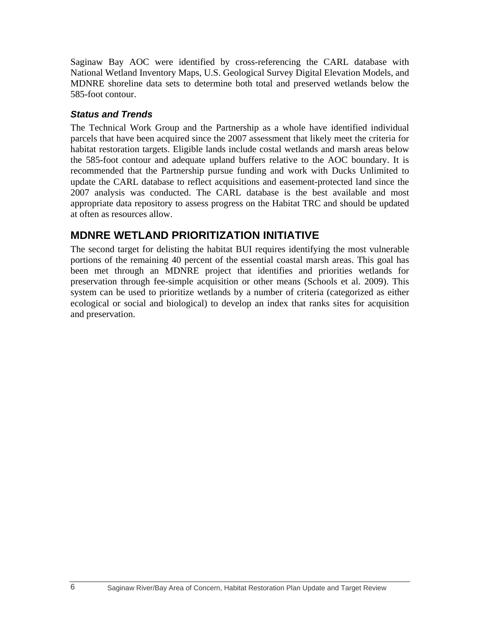Saginaw Bay AOC were identified by cross-referencing the CARL database with National Wetland Inventory Maps, U.S. Geological Survey Digital Elevation Models, and MDNRE shoreline data sets to determine both total and preserved wetlands below the 585-foot contour.

#### *Status and Trends*

The Technical Work Group and the Partnership as a whole have identified individual parcels that have been acquired since the 2007 assessment that likely meet the criteria for habitat restoration targets. Eligible lands include costal wetlands and marsh areas below the 585-foot contour and adequate upland buffers relative to the AOC boundary. It is recommended that the Partnership pursue funding and work with Ducks Unlimited to update the CARL database to reflect acquisitions and easement-protected land since the 2007 analysis was conducted. The CARL database is the best available and most appropriate data repository to assess progress on the Habitat TRC and should be updated at often as resources allow.

## **MDNRE WETLAND PRIORITIZATION INITIATIVE**

The second target for delisting the habitat BUI requires identifying the most vulnerable portions of the remaining 40 percent of the essential coastal marsh areas. This goal has been met through an MDNRE project that identifies and priorities wetlands for preservation through fee-simple acquisition or other means (Schools et al. 2009). This system can be used to prioritize wetlands by a number of criteria (categorized as either ecological or social and biological) to develop an index that ranks sites for acquisition and preservation.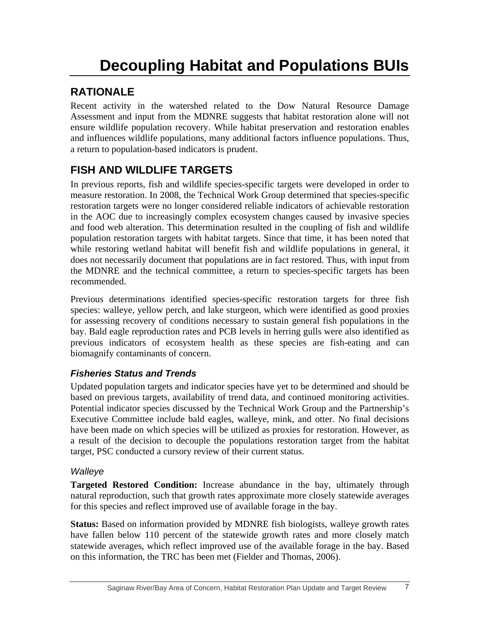# **Decoupling Habitat and Populations BUIs**

## **RATIONALE**

Recent activity in the watershed related to the Dow Natural Resource Damage Assessment and input from the MDNRE suggests that habitat restoration alone will not ensure wildlife population recovery. While habitat preservation and restoration enables and influences wildlife populations, many additional factors influence populations. Thus, a return to population-based indicators is prudent.

## **FISH AND WILDLIFE TARGETS**

In previous reports, fish and wildlife species-specific targets were developed in order to measure restoration. In 2008, the Technical Work Group determined that species-specific restoration targets were no longer considered reliable indicators of achievable restoration in the AOC due to increasingly complex ecosystem changes caused by invasive species and food web alteration. This determination resulted in the coupling of fish and wildlife population restoration targets with habitat targets. Since that time, it has been noted that while restoring wetland habitat will benefit fish and wildlife populations in general, it does not necessarily document that populations are in fact restored. Thus, with input from the MDNRE and the technical committee, a return to species-specific targets has been recommended.

Previous determinations identified species-specific restoration targets for three fish species: walleye, yellow perch, and lake sturgeon, which were identified as good proxies for assessing recovery of conditions necessary to sustain general fish populations in the bay. Bald eagle reproduction rates and PCB levels in herring gulls were also identified as previous indicators of ecosystem health as these species are fish-eating and can biomagnify contaminants of concern.

## *Fisheries Status and Trends*

Updated population targets and indicator species have yet to be determined and should be based on previous targets, availability of trend data, and continued monitoring activities. Potential indicator species discussed by the Technical Work Group and the Partnership's Executive Committee include bald eagles, walleye, mink, and otter. No final decisions have been made on which species will be utilized as proxies for restoration. However, as a result of the decision to decouple the populations restoration target from the habitat target, PSC conducted a cursory review of their current status.

#### *Walleye*

**Targeted Restored Condition:** Increase abundance in the bay, ultimately through natural reproduction, such that growth rates approximate more closely statewide averages for this species and reflect improved use of available forage in the bay.

**Status:** Based on information provided by MDNRE fish biologists, walleye growth rates have fallen below 110 percent of the statewide growth rates and more closely match statewide averages, which reflect improved use of the available forage in the bay. Based on this information, the TRC has been met (Fielder and Thomas, 2006).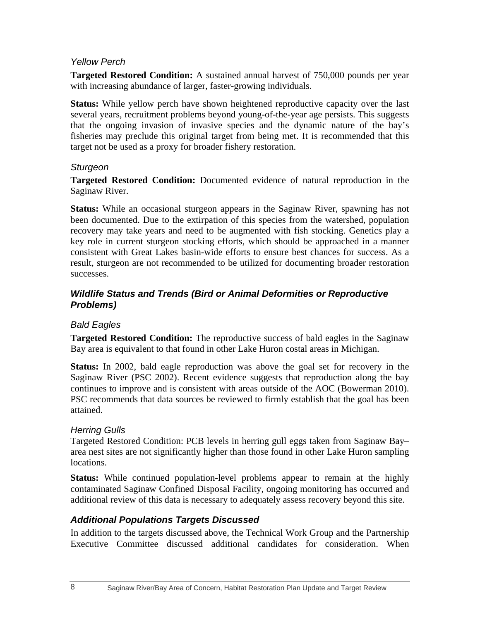#### *Yellow Perch*

**Targeted Restored Condition:** A sustained annual harvest of 750,000 pounds per year with increasing abundance of larger, faster-growing individuals.

**Status:** While yellow perch have shown heightened reproductive capacity over the last several years, recruitment problems beyond young-of-the-year age persists. This suggests that the ongoing invasion of invasive species and the dynamic nature of the bay's fisheries may preclude this original target from being met. It is recommended that this target not be used as a proxy for broader fishery restoration.

#### *Sturgeon*

**Targeted Restored Condition:** Documented evidence of natural reproduction in the Saginaw River.

**Status:** While an occasional sturgeon appears in the Saginaw River, spawning has not been documented. Due to the extirpation of this species from the watershed, population recovery may take years and need to be augmented with fish stocking. Genetics play a key role in current sturgeon stocking efforts, which should be approached in a manner consistent with Great Lakes basin-wide efforts to ensure best chances for success. As a result, sturgeon are not recommended to be utilized for documenting broader restoration successes.

#### *Wildlife Status and Trends (Bird or Animal Deformities or Reproductive Problems)*

#### *Bald Eagles*

**Targeted Restored Condition:** The reproductive success of bald eagles in the Saginaw Bay area is equivalent to that found in other Lake Huron costal areas in Michigan.

**Status:** In 2002, bald eagle reproduction was above the goal set for recovery in the Saginaw River (PSC 2002). Recent evidence suggests that reproduction along the bay continues to improve and is consistent with areas outside of the AOC (Bowerman 2010). PSC recommends that data sources be reviewed to firmly establish that the goal has been attained.

#### *Herring Gulls*

Targeted Restored Condition: PCB levels in herring gull eggs taken from Saginaw Bay– area nest sites are not significantly higher than those found in other Lake Huron sampling locations.

**Status:** While continued population-level problems appear to remain at the highly contaminated Saginaw Confined Disposal Facility, ongoing monitoring has occurred and additional review of this data is necessary to adequately assess recovery beyond this site.

#### *Additional Populations Targets Discussed*

In addition to the targets discussed above, the Technical Work Group and the Partnership Executive Committee discussed additional candidates for consideration. When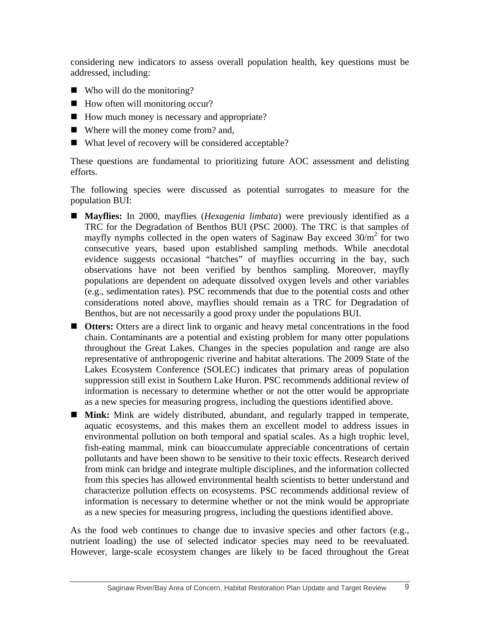considering new indicators to assess overall population health, key questions must be addressed, including:

- Who will do the monitoring?
- $\blacksquare$  How often will monitoring occur?
- How much money is necessary and appropriate?
- Where will the money come from? and,
- What level of recovery will be considered acceptable?

These questions are fundamental to prioritizing future AOC assessment and delisting efforts.

The following species were discussed as potential surrogates to measure for the population BUI:

- **Mayflies:** In 2000, mayflies (*Hexagenia limbata*) were previously identified as a TRC for the Degradation of Benthos BUI (PSC 2000). The TRC is that samples of mayfly nymphs collected in the open waters of Saginaw Bay exceed  $30/m^2$  for two consecutive years, based upon established sampling methods. While anecdotal evidence suggests occasional "hatches" of mayflies occurring in the bay, such observations have not been verified by benthos sampling. Moreover, mayfly populations are dependent on adequate dissolved oxygen levels and other variables (e.g., sedimentation rates). PSC recommends that due to the potential costs and other considerations noted above, mayflies should remain as a TRC for Degradation of Benthos, but are not necessarily a good proxy under the populations BUI.
- **Otters:** Otters are a direct link to organic and heavy metal concentrations in the food chain. Contaminants are a potential and existing problem for many otter populations throughout the Great Lakes. Changes in the species population and range are also representative of anthropogenic riverine and habitat alterations. The 2009 State of the Lakes Ecosystem Conference (SOLEC) indicates that primary areas of population suppression still exist in Southern Lake Huron. PSC recommends additional review of information is necessary to determine whether or not the otter would be appropriate as a new species for measuring progress, including the questions identified above.
- **Mink:** Mink are widely distributed, abundant, and regularly trapped in temperate, aquatic ecosystems, and this makes them an excellent model to address issues in environmental pollution on both temporal and spatial scales. As a high trophic level, fish-eating mammal, mink can bioaccumulate appreciable concentrations of certain pollutants and have been shown to be sensitive to their toxic effects. Research derived from mink can bridge and integrate multiple disciplines, and the information collected from this species has allowed environmental health scientists to better understand and characterize pollution effects on ecosystems. PSC recommends additional review of information is necessary to determine whether or not the mink would be appropriate as a new species for measuring progress, including the questions identified above.

As the food web continues to change due to invasive species and other factors (e.g., nutrient loading) the use of selected indicator species may need to be reevaluated. However, large-scale ecosystem changes are likely to be faced throughout the Great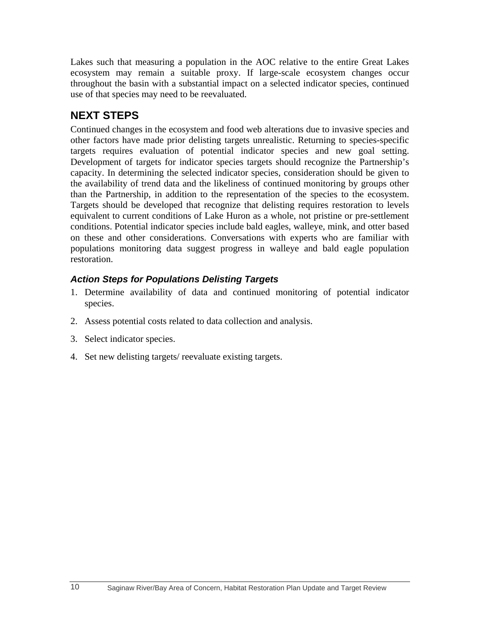Lakes such that measuring a population in the AOC relative to the entire Great Lakes ecosystem may remain a suitable proxy. If large-scale ecosystem changes occur throughout the basin with a substantial impact on a selected indicator species, continued use of that species may need to be reevaluated.

## **NEXT STEPS**

Continued changes in the ecosystem and food web alterations due to invasive species and other factors have made prior delisting targets unrealistic. Returning to species-specific targets requires evaluation of potential indicator species and new goal setting. Development of targets for indicator species targets should recognize the Partnership's capacity. In determining the selected indicator species, consideration should be given to the availability of trend data and the likeliness of continued monitoring by groups other than the Partnership, in addition to the representation of the species to the ecosystem. Targets should be developed that recognize that delisting requires restoration to levels equivalent to current conditions of Lake Huron as a whole, not pristine or pre-settlement conditions. Potential indicator species include bald eagles, walleye, mink, and otter based on these and other considerations. Conversations with experts who are familiar with populations monitoring data suggest progress in walleye and bald eagle population restoration.

## *Action Steps for Populations Delisting Targets*

- 1. Determine availability of data and continued monitoring of potential indicator species.
- 2. Assess potential costs related to data collection and analysis.
- 3. Select indicator species.
- 4. Set new delisting targets/ reevaluate existing targets.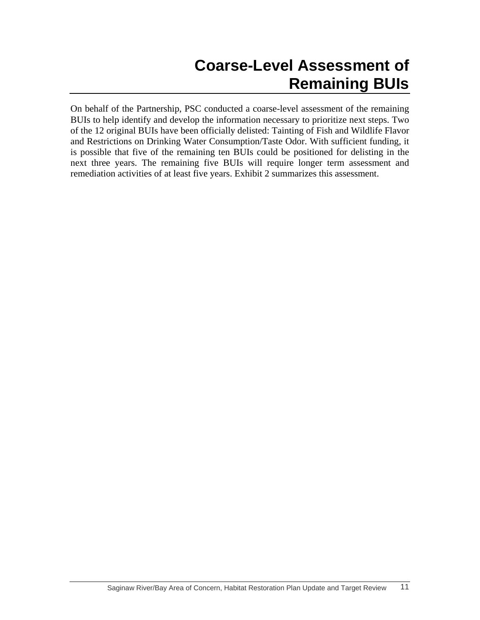# **Coarse-Level Assessment of Remaining BUIs**

On behalf of the Partnership, PSC conducted a coarse-level assessment of the remaining BUIs to help identify and develop the information necessary to prioritize next steps. Two of the 12 original BUIs have been officially delisted: Tainting of Fish and Wildlife Flavor and Restrictions on Drinking Water Consumption/Taste Odor. With sufficient funding, it is possible that five of the remaining ten BUIs could be positioned for delisting in the next three years. The remaining five BUIs will require longer term assessment and remediation activities of at least five years. Exhibit 2 summarizes this assessment.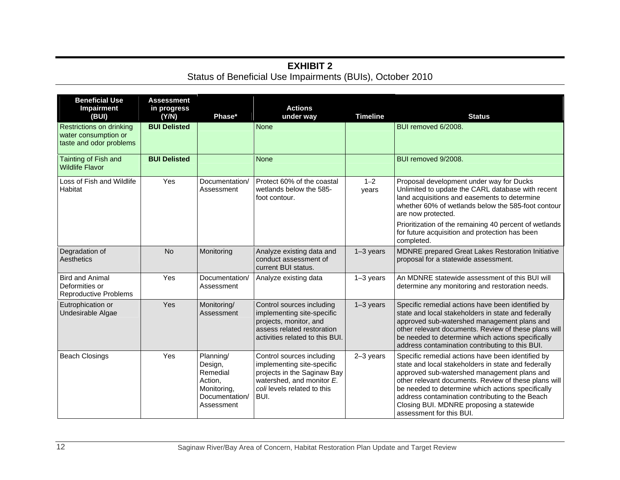#### **EXHIBIT 2**  Status of Beneficial Use Impairments (BUIs), October 2010

| <b>Beneficial Use</b><br><b>Impairment</b><br>(BUI)                         | <b>Assessment</b><br>in progress<br>(YN) | Phase*                                                                                     | <b>Actions</b><br>under way                                                                                                                                | <b>Timeline</b>  | <b>Status</b>                                                                                                                                                                                                                                                                                                                                                                                   |
|-----------------------------------------------------------------------------|------------------------------------------|--------------------------------------------------------------------------------------------|------------------------------------------------------------------------------------------------------------------------------------------------------------|------------------|-------------------------------------------------------------------------------------------------------------------------------------------------------------------------------------------------------------------------------------------------------------------------------------------------------------------------------------------------------------------------------------------------|
| Restrictions on drinking<br>water consumption or<br>taste and odor problems | <b>BUI Delisted</b>                      |                                                                                            | <b>None</b>                                                                                                                                                |                  | BUI removed 6/2008.                                                                                                                                                                                                                                                                                                                                                                             |
| Tainting of Fish and<br><b>Wildlife Flavor</b>                              | <b>BUI Delisted</b>                      |                                                                                            | <b>None</b>                                                                                                                                                |                  | BUI removed 9/2008.                                                                                                                                                                                                                                                                                                                                                                             |
| Loss of Fish and Wildlife<br>Habitat                                        | Yes                                      | Documentation/<br>Assessment                                                               | Protect 60% of the coastal<br>wetlands below the 585-<br>foot contour.                                                                                     | $1 - 2$<br>years | Proposal development under way for Ducks<br>Unlimited to update the CARL database with recent<br>land acquisitions and easements to determine<br>whether 60% of wetlands below the 585-foot contour<br>are now protected.                                                                                                                                                                       |
|                                                                             |                                          |                                                                                            |                                                                                                                                                            |                  | Prioritization of the remaining 40 percent of wetlands<br>for future acquisition and protection has been<br>completed.                                                                                                                                                                                                                                                                          |
| Degradation of<br>Aesthetics                                                | <b>No</b>                                | Monitoring                                                                                 | Analyze existing data and<br>conduct assessment of<br>current BUI status.                                                                                  | $1-3$ years      | MDNRE prepared Great Lakes Restoration Initiative<br>proposal for a statewide assessment.                                                                                                                                                                                                                                                                                                       |
| <b>Bird and Animal</b><br>Deformities or<br><b>Reproductive Problems</b>    | Yes                                      | Documentation/<br>Assessment                                                               | Analyze existing data                                                                                                                                      | $1-3$ years      | An MDNRE statewide assessment of this BUI will<br>determine any monitoring and restoration needs.                                                                                                                                                                                                                                                                                               |
| Eutrophication or<br>Undesirable Algae                                      | Yes                                      | Monitoring/<br>Assessment                                                                  | Control sources including<br>implementing site-specific<br>projects, monitor, and<br>assess related restoration<br>activities related to this BUI.         | $1-3$ years      | Specific remedial actions have been identified by<br>state and local stakeholders in state and federally<br>approved sub-watershed management plans and<br>other relevant documents. Review of these plans will<br>be needed to determine which actions specifically<br>address contamination contributing to this BUI.                                                                         |
| <b>Beach Closings</b>                                                       | Yes                                      | Planning/<br>Design,<br>Remedial<br>Action,<br>Monitoring,<br>Documentation/<br>Assessment | Control sources including<br>implementing site-specific<br>projects in the Saginaw Bay<br>watershed, and monitor E.<br>coli levels related to this<br>BUI. | $2-3$ years      | Specific remedial actions have been identified by<br>state and local stakeholders in state and federally<br>approved sub-watershed management plans and<br>other relevant documents. Review of these plans will<br>be needed to determine which actions specifically<br>address contamination contributing to the Beach<br>Closing BUI. MDNRE proposing a statewide<br>assessment for this BUI. |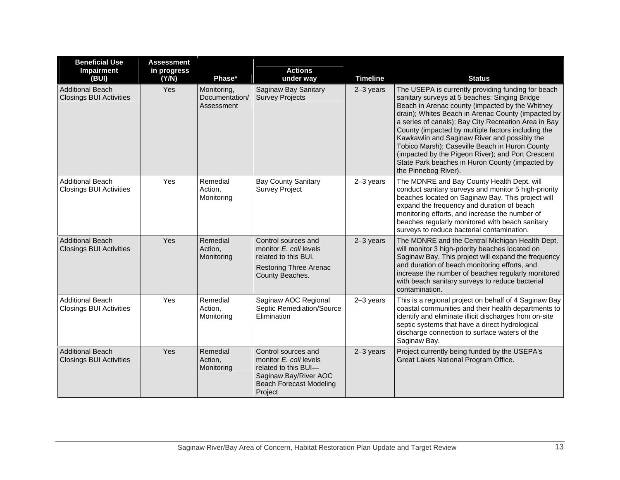| <b>Beneficial Use</b><br>Impairment                       | <b>Assessment</b><br>in progress |                                             | <b>Actions</b>                                                                                                                              |                 |                                                                                                                                                                                                                                                                                                                                                                                                                                                                                                                                                              |
|-----------------------------------------------------------|----------------------------------|---------------------------------------------|---------------------------------------------------------------------------------------------------------------------------------------------|-----------------|--------------------------------------------------------------------------------------------------------------------------------------------------------------------------------------------------------------------------------------------------------------------------------------------------------------------------------------------------------------------------------------------------------------------------------------------------------------------------------------------------------------------------------------------------------------|
| (BUI)                                                     | (Y/N)                            | Phase*                                      | under way                                                                                                                                   | <b>Timeline</b> | <b>Status</b>                                                                                                                                                                                                                                                                                                                                                                                                                                                                                                                                                |
| <b>Additional Beach</b><br><b>Closings BUI Activities</b> | Yes                              | Monitoring,<br>Documentation/<br>Assessment | Saginaw Bay Sanitary<br><b>Survey Projects</b>                                                                                              | $2-3$ years     | The USEPA is currently providing funding for beach<br>sanitary surveys at 5 beaches: Singing Bridge<br>Beach in Arenac county (impacted by the Whitney<br>drain); Whites Beach in Arenac County (impacted by<br>a series of canals); Bay City Recreation Area in Bay<br>County (impacted by multiple factors including the<br>Kawkawlin and Saginaw River and possibly the<br>Tobico Marsh); Caseville Beach in Huron County<br>(impacted by the Pigeon River); and Port Crescent<br>State Park beaches in Huron County (impacted by<br>the Pinnebog River). |
| <b>Additional Beach</b><br><b>Closings BUI Activities</b> | Yes                              | Remedial<br>Action,<br>Monitoring           | <b>Bay County Sanitary</b><br><b>Survey Project</b>                                                                                         | $2-3$ years     | The MDNRE and Bay County Health Dept. will<br>conduct sanitary surveys and monitor 5 high-priority<br>beaches located on Saginaw Bay. This project will<br>expand the frequency and duration of beach<br>monitoring efforts, and increase the number of<br>beaches regularly monitored with beach sanitary<br>surveys to reduce bacterial contamination.                                                                                                                                                                                                     |
| <b>Additional Beach</b><br><b>Closings BUI Activities</b> | Yes                              | Remedial<br>Action,<br>Monitoring           | Control sources and<br>monitor E. coli levels<br>related to this BUI.<br><b>Restoring Three Arenac</b><br>County Beaches.                   | $2-3$ years     | The MDNRE and the Central Michigan Health Dept.<br>will monitor 3 high-priority beaches located on<br>Saginaw Bay. This project will expand the frequency<br>and duration of beach monitoring efforts, and<br>increase the number of beaches regularly monitored<br>with beach sanitary surveys to reduce bacterial<br>contamination.                                                                                                                                                                                                                        |
| <b>Additional Beach</b><br><b>Closings BUI Activities</b> | Yes                              | Remedial<br>Action,<br>Monitoring           | Saginaw AOC Regional<br>Septic Remediation/Source<br>Elimination                                                                            | $2-3$ years     | This is a regional project on behalf of 4 Saginaw Bay<br>coastal communities and their health departments to<br>identify and eliminate illicit discharges from on-site<br>septic systems that have a direct hydrological<br>discharge connection to surface waters of the<br>Saginaw Bay.                                                                                                                                                                                                                                                                    |
| <b>Additional Beach</b><br><b>Closings BUI Activities</b> | Yes                              | Remedial<br>Action,<br>Monitoring           | Control sources and<br>monitor E. coli levels<br>related to this BUI-<br>Saginaw Bay/River AOC<br><b>Beach Forecast Modeling</b><br>Project | $2-3$ years     | Project currently being funded by the USEPA's<br>Great Lakes National Program Office.                                                                                                                                                                                                                                                                                                                                                                                                                                                                        |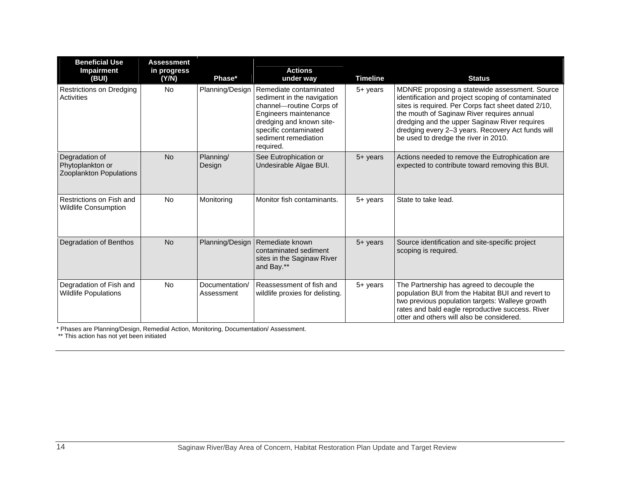| <b>Beneficial Use</b><br><b>Impairment</b><br>(BUI)           | <b>Assessment</b><br>in progress<br>(Y/N) | Phase*                       | <b>Actions</b><br>under way                                                                                                                                                                         | <b>Timeline</b> | <b>Status</b>                                                                                                                                                                                                                                                                                                                                           |
|---------------------------------------------------------------|-------------------------------------------|------------------------------|-----------------------------------------------------------------------------------------------------------------------------------------------------------------------------------------------------|-----------------|---------------------------------------------------------------------------------------------------------------------------------------------------------------------------------------------------------------------------------------------------------------------------------------------------------------------------------------------------------|
| Restrictions on Dredging<br>Activities                        | No                                        | Planning/Design              | Remediate contaminated<br>sediment in the navigation<br>channel-routine Corps of<br>Engineers maintenance<br>dredging and known site-<br>specific contaminated<br>sediment remediation<br>required. | 5+ years        | MDNRE proposing a statewide assessment. Source<br>identification and project scoping of contaminated<br>sites is required. Per Corps fact sheet dated 2/10,<br>the mouth of Saginaw River requires annual<br>dredging and the upper Saginaw River requires<br>dredging every 2-3 years. Recovery Act funds will<br>be used to dredge the river in 2010. |
| Degradation of<br>Phytoplankton or<br>Zooplankton Populations | <b>No</b>                                 | Planning/<br>Design          | See Eutrophication or<br>Undesirable Algae BUI.                                                                                                                                                     | 5+ years        | Actions needed to remove the Eutrophication are<br>expected to contribute toward removing this BUI.                                                                                                                                                                                                                                                     |
| Restrictions on Fish and<br><b>Wildlife Consumption</b>       | <b>No</b>                                 | Monitoring                   | Monitor fish contaminants.                                                                                                                                                                          | 5+ years        | State to take lead.                                                                                                                                                                                                                                                                                                                                     |
| Degradation of Benthos                                        | <b>No</b>                                 | Planning/Design              | Remediate known<br>contaminated sediment<br>sites in the Saginaw River<br>and Bay.**                                                                                                                | 5+ years        | Source identification and site-specific project<br>scoping is required.                                                                                                                                                                                                                                                                                 |
| Degradation of Fish and<br><b>Wildlife Populations</b>        | <b>No</b>                                 | Documentation/<br>Assessment | Reassessment of fish and<br>wildlife proxies for delisting.                                                                                                                                         | 5+ years        | The Partnership has agreed to decouple the<br>population BUI from the Habitat BUI and revert to<br>two previous population targets: Walleye growth<br>rates and bald eagle reproductive success. River<br>otter and others will also be considered.                                                                                                     |

\* Phases are Planning/Design, Remedial Action, Monitoring, Documentation/ Assessment.

\*\* This action has not yet been initiated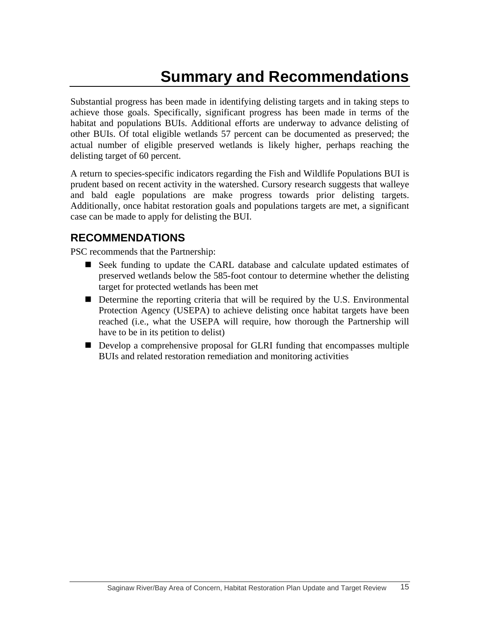# **Summary and Recommendations**

Substantial progress has been made in identifying delisting targets and in taking steps to achieve those goals. Specifically, significant progress has been made in terms of the habitat and populations BUIs. Additional efforts are underway to advance delisting of other BUIs. Of total eligible wetlands 57 percent can be documented as preserved; the actual number of eligible preserved wetlands is likely higher, perhaps reaching the delisting target of 60 percent.

A return to species-specific indicators regarding the Fish and Wildlife Populations BUI is prudent based on recent activity in the watershed. Cursory research suggests that walleye and bald eagle populations are make progress towards prior delisting targets. Additionally, once habitat restoration goals and populations targets are met, a significant case can be made to apply for delisting the BUI.

#### **RECOMMENDATIONS**

PSC recommends that the Partnership:

- Seek funding to update the CARL database and calculate updated estimates of preserved wetlands below the 585-foot contour to determine whether the delisting target for protected wetlands has been met
- Determine the reporting criteria that will be required by the U.S. Environmental Protection Agency (USEPA) to achieve delisting once habitat targets have been reached (i.e., what the USEPA will require, how thorough the Partnership will have to be in its petition to delist)
- Develop a comprehensive proposal for GLRI funding that encompasses multiple BUIs and related restoration remediation and monitoring activities